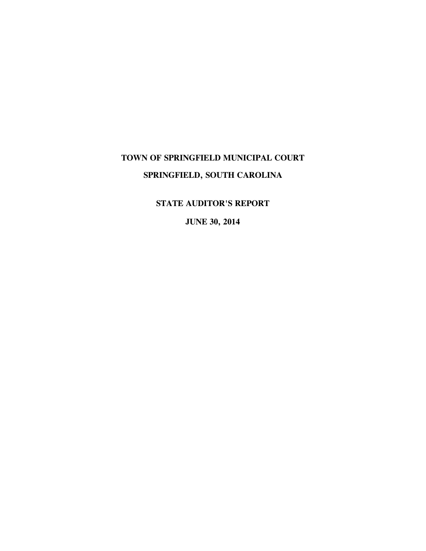# **TOWN OF SPRINGFIELD MUNICIPAL COURT SPRINGFIELD, SOUTH CAROLINA**

**STATE AUDITOR'S REPORT** 

**JUNE 30, 2014**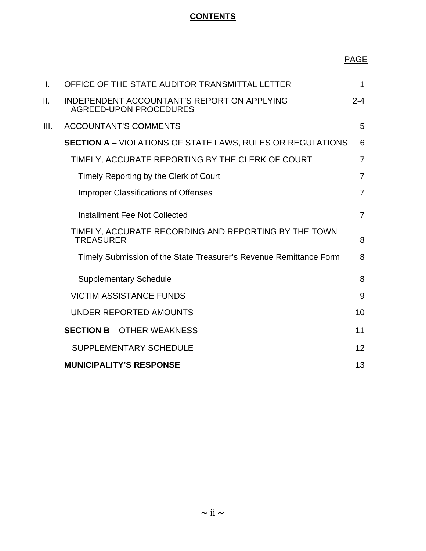## **CONTENTS**

# PAGE

| $\mathbf{I}$ . | OFFICE OF THE STATE AUDITOR TRANSMITTAL LETTER                               | 1              |
|----------------|------------------------------------------------------------------------------|----------------|
| П.             | INDEPENDENT ACCOUNTANT'S REPORT ON APPLYING<br><b>AGREED-UPON PROCEDURES</b> | $2 - 4$        |
| III.           | <b>ACCOUNTANT'S COMMENTS</b>                                                 | 5              |
|                | <b>SECTION A</b> – VIOLATIONS OF STATE LAWS, RULES OR REGULATIONS            | 6              |
|                | TIMELY, ACCURATE REPORTING BY THE CLERK OF COURT                             | $\overline{7}$ |
|                | Timely Reporting by the Clerk of Court                                       | $\overline{7}$ |
|                | <b>Improper Classifications of Offenses</b>                                  | $\overline{7}$ |
|                | Installment Fee Not Collected                                                | $\overline{7}$ |
|                | TIMELY, ACCURATE RECORDING AND REPORTING BY THE TOWN<br><b>TREASURER</b>     | 8              |
|                | Timely Submission of the State Treasurer's Revenue Remittance Form           | 8              |
|                | <b>Supplementary Schedule</b>                                                | 8              |
|                | <b>VICTIM ASSISTANCE FUNDS</b>                                               | 9              |
|                | UNDER REPORTED AMOUNTS                                                       | 10             |
|                | <b>SECTION B - OTHER WEAKNESS</b>                                            | 11             |
|                | SUPPLEMENTARY SCHEDULE                                                       | 12             |
|                | <b>MUNICIPALITY'S RESPONSE</b>                                               | 13             |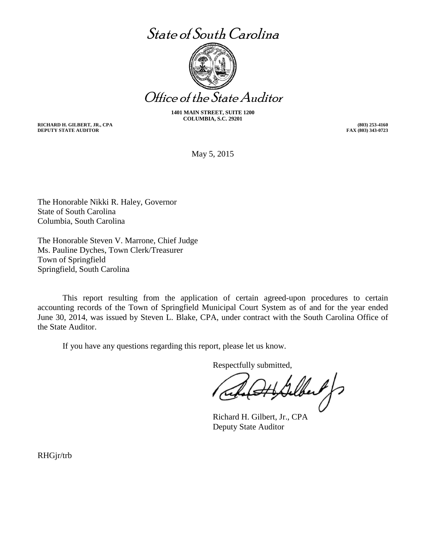# State of South Carolina



Office of the State Auditor

**1401 MAIN STREET, SUITE 1200 COLUMBIA, S.C. 29201** 

**RICHARD H. GILBERT, JR., CPA DEPUTY STATE AUDITOR** 

**(803) 253-4160 FAX (803) 343-0723** 

May 5, 2015

The Honorable Nikki R. Haley, Governor State of South Carolina Columbia, South Carolina

The Honorable Steven V. Marrone, Chief Judge Ms. Pauline Dyches, Town Clerk/Treasurer Town of Springfield Springfield, South Carolina

This report resulting from the application of certain agreed-upon procedures to certain accounting records of the Town of Springfield Municipal Court System as of and for the year ended June 30, 2014, was issued by Steven L. Blake, CPA, under contract with the South Carolina Office of the State Auditor.

If you have any questions regarding this report, please let us know.

Respectfully submitted,

felbert f

Richard H. Gilbert, Jr., CPA Deputy State Auditor

RHGjr/trb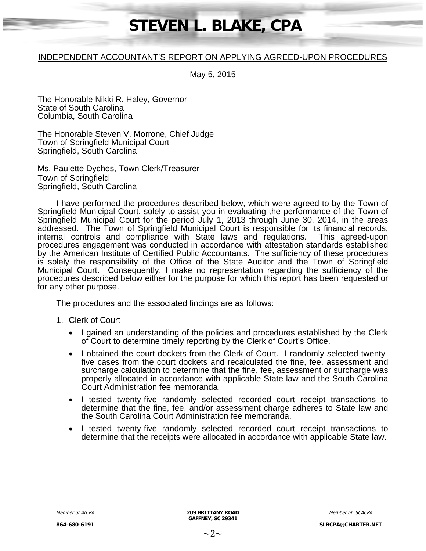# **STEVEN L. BLAKE, CPA**

#### INDEPENDENT ACCOUNTANT'S REPORT ON APPLYING AGREED-UPON PROCEDURES

May 5, 2015

The Honorable Nikki R. Haley, Governor State of South Carolina Columbia, South Carolina

The Honorable Steven V. Morrone, Chief Judge Town of Springfield Municipal Court Springfield, South Carolina

Ms. Paulette Dyches, Town Clerk/Treasurer Town of Springfield Springfield, South Carolina

I have performed the procedures described below, which were agreed to by the Town of Springfield Municipal Court, solely to assist you in evaluating the performance of the Town of Springfield Municipal Court for the period July 1, 2013 through June 30, 2014, in the areas addressed. The Town of Springfield Municipal Court is responsible for its financial records, internal controls and compliance with State laws and regulations. This agreed-upon procedures engagement was conducted in accordance with attestation standards established by the American Institute of Certified Public Accountants. The sufficiency of these procedures is solely the responsibility of the Office of the State Auditor and the Town of Springfield Municipal Court. Consequently, I make no representation regarding the sufficiency of the procedures described below either for the purpose for which this report has been requested or for any other purpose.

The procedures and the associated findings are as follows:

- 1. Clerk of Court
	- I gained an understanding of the policies and procedures established by the Clerk of Court to determine timely reporting by the Clerk of Court's Office.
	- I obtained the court dockets from the Clerk of Court. I randomly selected twentyfive cases from the court dockets and recalculated the fine, fee, assessment and surcharge calculation to determine that the fine, fee, assessment or surcharge was properly allocated in accordance with applicable State law and the South Carolina Court Administration fee memoranda.
	- I tested twenty-five randomly selected recorded court receipt transactions to determine that the fine, fee, and/or assessment charge adheres to State law and the South Carolina Court Administration fee memoranda.
	- I tested twenty-five randomly selected recorded court receipt transactions to determine that the receipts were allocated in accordance with applicable State law.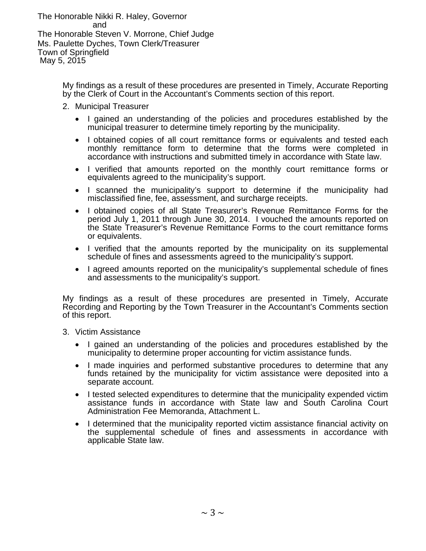The Honorable Nikki R. Haley, Governor and The Honorable Steven V. Morrone, Chief Judge Ms. Paulette Dyches, Town Clerk/Treasurer Town of Springfield May 5, 2015

> My findings as a result of these procedures are presented in Timely, Accurate Reporting by the Clerk of Court in the Accountant's Comments section of this report.

- 2. Municipal Treasurer
	- I gained an understanding of the policies and procedures established by the municipal treasurer to determine timely reporting by the municipality.
	- I obtained copies of all court remittance forms or equivalents and tested each monthly remittance form to determine that the forms were completed in accordance with instructions and submitted timely in accordance with State law.
	- I verified that amounts reported on the monthly court remittance forms or equivalents agreed to the municipality's support.
	- I scanned the municipality's support to determine if the municipality had misclassified fine, fee, assessment, and surcharge receipts.
	- I obtained copies of all State Treasurer's Revenue Remittance Forms for the period July 1, 2011 through June 30, 2014. I vouched the amounts reported on the State Treasurer's Revenue Remittance Forms to the court remittance forms or equivalents.
	- I verified that the amounts reported by the municipality on its supplemental schedule of fines and assessments agreed to the municipality's support.
	- I agreed amounts reported on the municipality's supplemental schedule of fines and assessments to the municipality's support.

My findings as a result of these procedures are presented in Timely, Accurate Recording and Reporting by the Town Treasurer in the Accountant's Comments section of this report.

- 3. Victim Assistance
	- I gained an understanding of the policies and procedures established by the municipality to determine proper accounting for victim assistance funds.
	- I made inquiries and performed substantive procedures to determine that any funds retained by the municipality for victim assistance were deposited into a separate account.
	- I tested selected expenditures to determine that the municipality expended victim assistance funds in accordance with State law and South Carolina Court Administration Fee Memoranda, Attachment L.
	- I determined that the municipality reported victim assistance financial activity on the supplemental schedule of fines and assessments in accordance with applicable State law.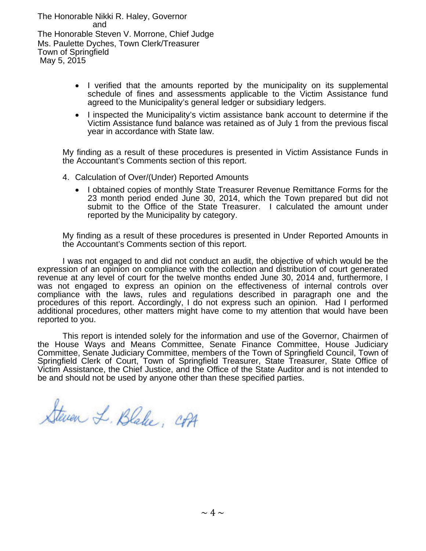The Honorable Nikki R. Haley, Governor and The Honorable Steven V. Morrone, Chief Judge Ms. Paulette Dyches, Town Clerk/Treasurer Town of Springfield May 5, 2015

- I verified that the amounts reported by the municipality on its supplemental schedule of fines and assessments applicable to the Victim Assistance fund agreed to the Municipality's general ledger or subsidiary ledgers.
- I inspected the Municipality's victim assistance bank account to determine if the Victim Assistance fund balance was retained as of July 1 from the previous fiscal year in accordance with State law.

My finding as a result of these procedures is presented in Victim Assistance Funds in the Accountant's Comments section of this report.

- 4. Calculation of Over/(Under) Reported Amounts
	- I obtained copies of monthly State Treasurer Revenue Remittance Forms for the 23 month period ended June 30, 2014, which the Town prepared but did not submit to the Office of the State Treasurer. I calculated the amount under reported by the Municipality by category.

My finding as a result of these procedures is presented in Under Reported Amounts in the Accountant's Comments section of this report.

I was not engaged to and did not conduct an audit, the objective of which would be the expression of an opinion on compliance with the collection and distribution of court generated revenue at any level of court for the twelve months ended June 30, 2014 and, furthermore, I was not engaged to express an opinion on the effectiveness of internal controls over compliance with the laws, rules and regulations described in paragraph one and the procedures of this report. Accordingly, I do not express such an opinion. Had I performed additional procedures, other matters might have come to my attention that would have been reported to you.

This report is intended solely for the information and use of the Governor, Chairmen of the House Ways and Means Committee, Senate Finance Committee, House Judiciary Committee, Senate Judiciary Committee, members of the Town of Springfield Council, Town of Springfield Clerk of Court, Town of Springfield Treasurer, State Treasurer, State Office of Victim Assistance, the Chief Justice, and the Office of the State Auditor and is not intended to be and should not be used by anyone other than these specified parties.

Steven L. Blake, CPA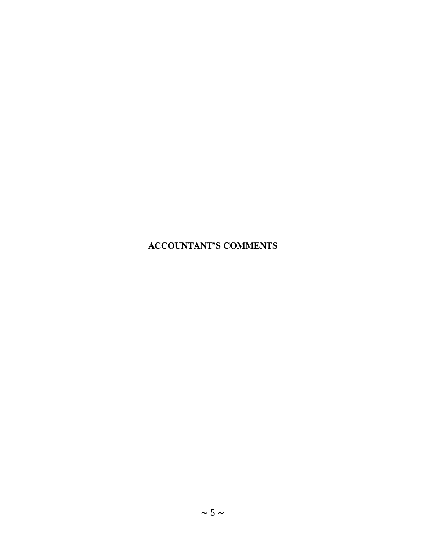## **ACCOUNTANT'S COMMENTS**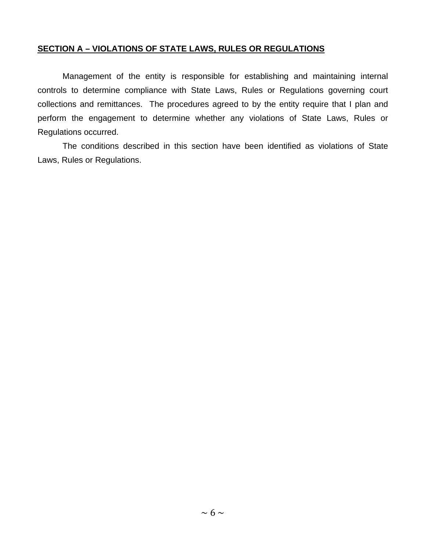#### **SECTION A – VIOLATIONS OF STATE LAWS, RULES OR REGULATIONS**

Management of the entity is responsible for establishing and maintaining internal controls to determine compliance with State Laws, Rules or Regulations governing court collections and remittances. The procedures agreed to by the entity require that I plan and perform the engagement to determine whether any violations of State Laws, Rules or Regulations occurred.

The conditions described in this section have been identified as violations of State Laws, Rules or Regulations.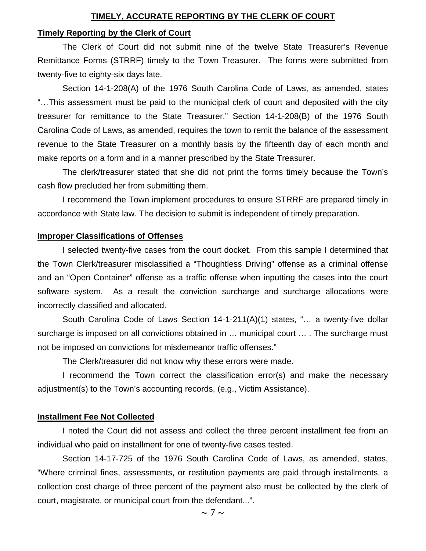#### **TIMELY, ACCURATE REPORTING BY THE CLERK OF COURT**

#### **Timely Reporting by the Clerk of Court**

The Clerk of Court did not submit nine of the twelve State Treasurer's Revenue Remittance Forms (STRRF) timely to the Town Treasurer. The forms were submitted from twenty-five to eighty-six days late.

Section 14-1-208(A) of the 1976 South Carolina Code of Laws, as amended, states "…This assessment must be paid to the municipal clerk of court and deposited with the city treasurer for remittance to the State Treasurer." Section 14-1-208(B) of the 1976 South Carolina Code of Laws, as amended, requires the town to remit the balance of the assessment revenue to the State Treasurer on a monthly basis by the fifteenth day of each month and make reports on a form and in a manner prescribed by the State Treasurer.

The clerk/treasurer stated that she did not print the forms timely because the Town's cash flow precluded her from submitting them.

I recommend the Town implement procedures to ensure STRRF are prepared timely in accordance with State law. The decision to submit is independent of timely preparation.

#### **Improper Classifications of Offenses**

I selected twenty-five cases from the court docket. From this sample I determined that the Town Clerk/treasurer misclassified a "Thoughtless Driving" offense as a criminal offense and an "Open Container" offense as a traffic offense when inputting the cases into the court software system. As a result the conviction surcharge and surcharge allocations were incorrectly classified and allocated.

South Carolina Code of Laws Section 14-1-211(A)(1) states, "… a twenty-five dollar surcharge is imposed on all convictions obtained in … municipal court … . The surcharge must not be imposed on convictions for misdemeanor traffic offenses."

The Clerk/treasurer did not know why these errors were made.

I recommend the Town correct the classification error(s) and make the necessary adjustment(s) to the Town's accounting records, (e.g., Victim Assistance).

#### **Installment Fee Not Collected**

I noted the Court did not assess and collect the three percent installment fee from an individual who paid on installment for one of twenty-five cases tested.

Section 14-17-725 of the 1976 South Carolina Code of Laws, as amended, states, "Where criminal fines, assessments, or restitution payments are paid through installments, a collection cost charge of three percent of the payment also must be collected by the clerk of court, magistrate, or municipal court from the defendant...".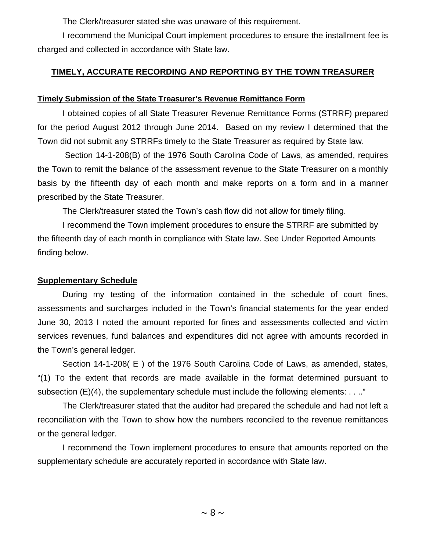The Clerk/treasurer stated she was unaware of this requirement.

I recommend the Municipal Court implement procedures to ensure the installment fee is charged and collected in accordance with State law.

### **TIMELY, ACCURATE RECORDING AND REPORTING BY THE TOWN TREASURER**

#### **Timely Submission of the State Treasurer's Revenue Remittance Form**

I obtained copies of all State Treasurer Revenue Remittance Forms (STRRF) prepared for the period August 2012 through June 2014. Based on my review I determined that the Town did not submit any STRRFs timely to the State Treasurer as required by State law.

Section 14-1-208(B) of the 1976 South Carolina Code of Laws, as amended, requires the Town to remit the balance of the assessment revenue to the State Treasurer on a monthly basis by the fifteenth day of each month and make reports on a form and in a manner prescribed by the State Treasurer.

The Clerk/treasurer stated the Town's cash flow did not allow for timely filing.

I recommend the Town implement procedures to ensure the STRRF are submitted by the fifteenth day of each month in compliance with State law. See Under Reported Amounts finding below.

#### **Supplementary Schedule**

During my testing of the information contained in the schedule of court fines, assessments and surcharges included in the Town's financial statements for the year ended June 30, 2013 I noted the amount reported for fines and assessments collected and victim services revenues, fund balances and expenditures did not agree with amounts recorded in the Town's general ledger.

Section 14-1-208( E ) of the 1976 South Carolina Code of Laws, as amended, states, "(1) To the extent that records are made available in the format determined pursuant to subsection  $(E)(4)$ , the supplementary schedule must include the following elements: ...."

The Clerk/treasurer stated that the auditor had prepared the schedule and had not left a reconciliation with the Town to show how the numbers reconciled to the revenue remittances or the general ledger.

I recommend the Town implement procedures to ensure that amounts reported on the supplementary schedule are accurately reported in accordance with State law.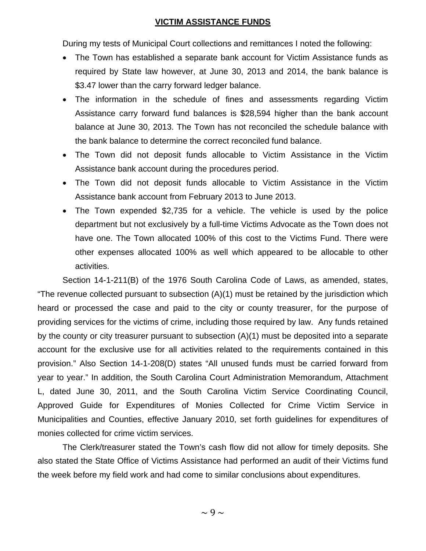#### **VICTIM ASSISTANCE FUNDS**

During my tests of Municipal Court collections and remittances I noted the following:

- The Town has established a separate bank account for Victim Assistance funds as required by State law however, at June 30, 2013 and 2014, the bank balance is \$3.47 lower than the carry forward ledger balance.
- The information in the schedule of fines and assessments regarding Victim Assistance carry forward fund balances is \$28,594 higher than the bank account balance at June 30, 2013. The Town has not reconciled the schedule balance with the bank balance to determine the correct reconciled fund balance.
- The Town did not deposit funds allocable to Victim Assistance in the Victim Assistance bank account during the procedures period.
- The Town did not deposit funds allocable to Victim Assistance in the Victim Assistance bank account from February 2013 to June 2013.
- The Town expended \$2,735 for a vehicle. The vehicle is used by the police department but not exclusively by a full-time Victims Advocate as the Town does not have one. The Town allocated 100% of this cost to the Victims Fund. There were other expenses allocated 100% as well which appeared to be allocable to other activities.

Section 14-1-211(B) of the 1976 South Carolina Code of Laws, as amended, states, "The revenue collected pursuant to subsection (A)(1) must be retained by the jurisdiction which heard or processed the case and paid to the city or county treasurer, for the purpose of providing services for the victims of crime, including those required by law. Any funds retained by the county or city treasurer pursuant to subsection (A)(1) must be deposited into a separate account for the exclusive use for all activities related to the requirements contained in this provision." Also Section 14-1-208(D) states "All unused funds must be carried forward from year to year." In addition, the South Carolina Court Administration Memorandum, Attachment L, dated June 30, 2011, and the South Carolina Victim Service Coordinating Council, Approved Guide for Expenditures of Monies Collected for Crime Victim Service in Municipalities and Counties, effective January 2010, set forth guidelines for expenditures of monies collected for crime victim services.

The Clerk/treasurer stated the Town's cash flow did not allow for timely deposits. She also stated the State Office of Victims Assistance had performed an audit of their Victims fund the week before my field work and had come to similar conclusions about expenditures.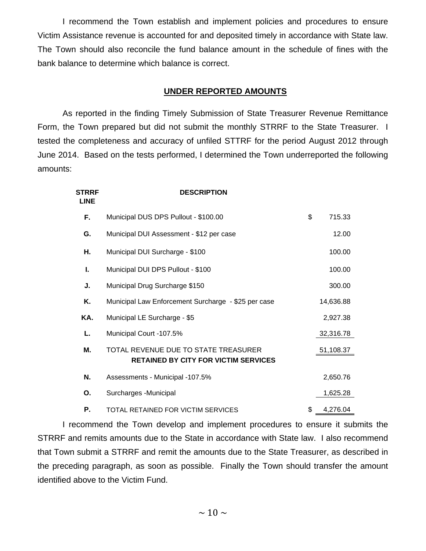I recommend the Town establish and implement policies and procedures to ensure Victim Assistance revenue is accounted for and deposited timely in accordance with State law. The Town should also reconcile the fund balance amount in the schedule of fines with the bank balance to determine which balance is correct.

#### **UNDER REPORTED AMOUNTS**

As reported in the finding Timely Submission of State Treasurer Revenue Remittance Form, the Town prepared but did not submit the monthly STRRF to the State Treasurer. I tested the completeness and accuracy of unfiled STTRF for the period August 2012 through June 2014. Based on the tests performed, I determined the Town underreported the following amounts:

| <b>STRRF</b><br><b>LINE</b> | <b>DESCRIPTION</b>                                                                  |                |
|-----------------------------|-------------------------------------------------------------------------------------|----------------|
| F.                          | Municipal DUS DPS Pullout - \$100.00                                                | \$<br>715.33   |
| G.                          | Municipal DUI Assessment - \$12 per case                                            | 12.00          |
| Η.                          | Municipal DUI Surcharge - \$100                                                     | 100.00         |
| L.                          | Municipal DUI DPS Pullout - \$100                                                   | 100.00         |
| J.                          | Municipal Drug Surcharge \$150                                                      | 300.00         |
| Κ.                          | Municipal Law Enforcement Surcharge - \$25 per case                                 | 14,636.88      |
| KA.                         | Municipal LE Surcharge - \$5                                                        | 2,927.38       |
| L.                          | Municipal Court -107.5%                                                             | 32,316.78      |
| М.                          | TOTAL REVENUE DUE TO STATE TREASURER<br><b>RETAINED BY CITY FOR VICTIM SERVICES</b> | 51,108.37      |
| N.                          | Assessments - Municipal -107.5%                                                     | 2,650.76       |
| Ο.                          | Surcharges - Municipal                                                              | 1,625.28       |
| Р.                          | TOTAL RETAINED FOR VICTIM SERVICES                                                  | \$<br>4,276.04 |

I recommend the Town develop and implement procedures to ensure it submits the STRRF and remits amounts due to the State in accordance with State law. I also recommend that Town submit a STRRF and remit the amounts due to the State Treasurer, as described in the preceding paragraph, as soon as possible. Finally the Town should transfer the amount identified above to the Victim Fund.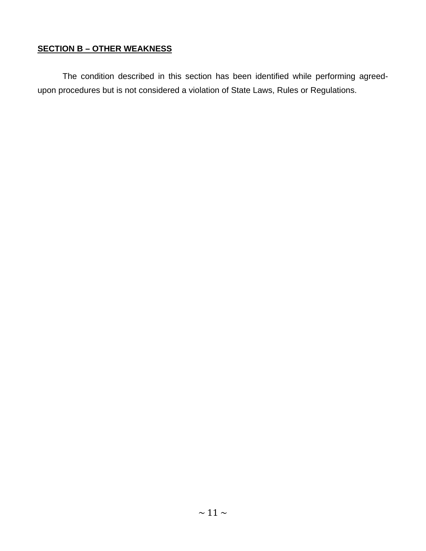## **SECTION B – OTHER WEAKNESS**

The condition described in this section has been identified while performing agreedupon procedures but is not considered a violation of State Laws, Rules or Regulations.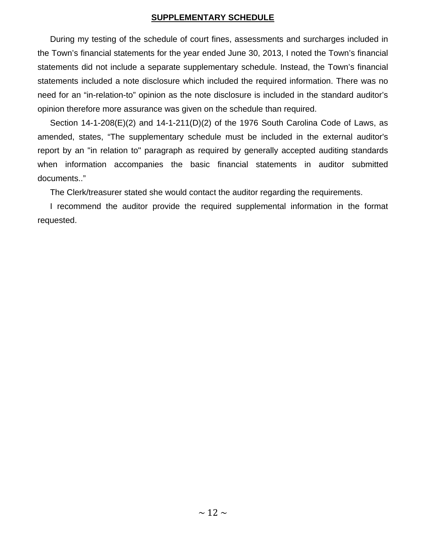#### **SUPPLEMENTARY SCHEDULE**

During my testing of the schedule of court fines, assessments and surcharges included in the Town's financial statements for the year ended June 30, 2013, I noted the Town's financial statements did not include a separate supplementary schedule. Instead, the Town's financial statements included a note disclosure which included the required information. There was no need for an "in-relation-to" opinion as the note disclosure is included in the standard auditor's opinion therefore more assurance was given on the schedule than required.

Section 14-1-208(E)(2) and 14-1-211(D)(2) of the 1976 South Carolina Code of Laws, as amended, states, "The supplementary schedule must be included in the external auditor's report by an "in relation to" paragraph as required by generally accepted auditing standards when information accompanies the basic financial statements in auditor submitted documents.."

The Clerk/treasurer stated she would contact the auditor regarding the requirements.

I recommend the auditor provide the required supplemental information in the format requested.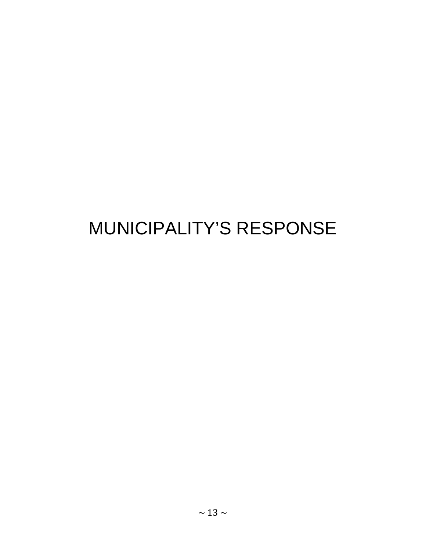# MUNICIPALITY'S RESPONSE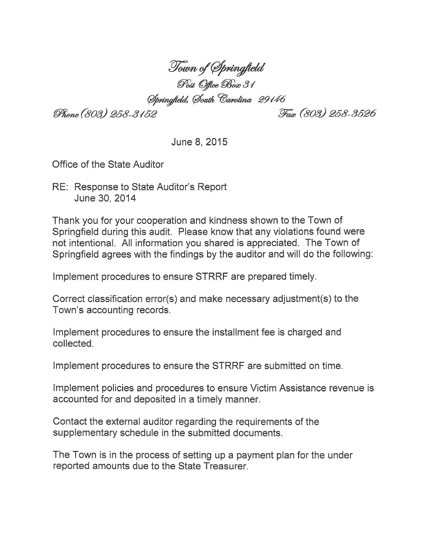Town of Springfield<br>Post Office Box 31

Springfield, South Carolina 29146

Phone (803) 258-3152

Fax (803) 258-3526

June 8, 2015

Office of the State Auditor

RE: Response to State Auditor's Report June 30, 2014

Thank you for your cooperation and kindness shown to the Town of Springfield during this audit. Please know that any violations found were not intentional. All information you shared is appreciated. The Town of Springfield agrees with the findings by the auditor and will do the following:

Implement procedures to ensure STRRF are prepared timely.

Correct classification error(s) and make necessary adjustment(s) to the Town's accounting records.

Implement procedures to ensure the installment fee is charged and collected.

Implement procedures to ensure the STRRF are submitted on time.

Implement policies and procedures to ensure Victim Assistance revenue is accounted for and deposited in a timely manner.

Contact the external auditor regarding the requirements of the supplementary schedule in the submitted documents.

The Town is in the process of setting up a payment plan for the under reported amounts due to the State Treasurer.